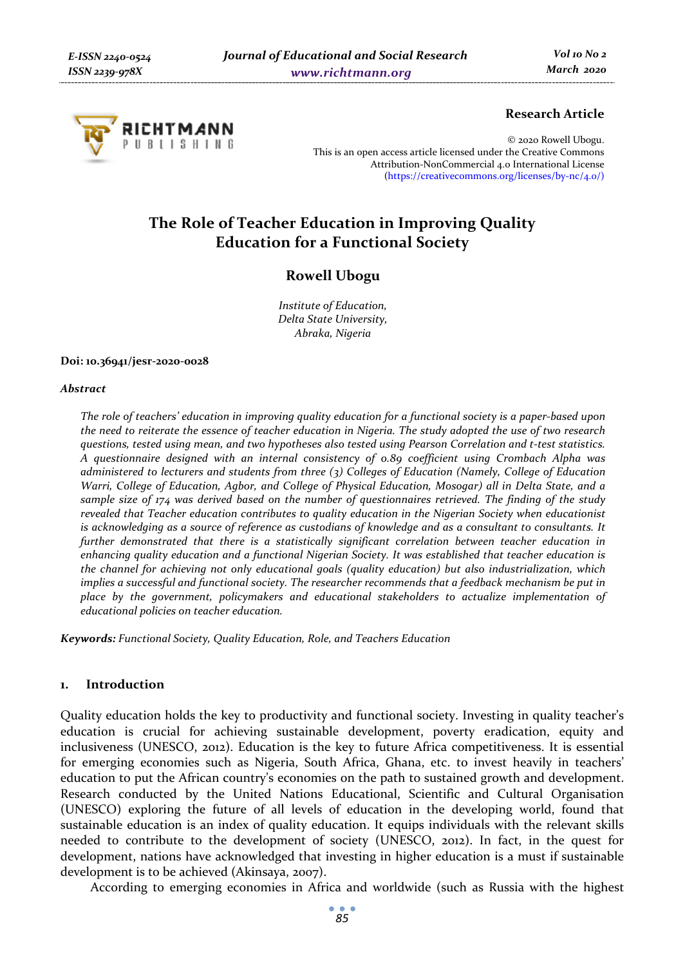

### **Research Article**

© 2020 Rowell Ubogu. This is an open access article licensed under the Creative Commons Attribution-NonCommercial 4.0 International License (https://creativecommons.org/licenses/by-nc/4.0/)

# **The Role of Teacher Education in Improving Quality Education for a Functional Society**

# **Rowell Ubogu**

*Institute of Education, Delta State University, Abraka, Nigeria* 

#### **Doi: 10.36941/jesr-2020-0028**

#### *Abstract*

*The role of teachers' education in improving quality education for a functional society is a paper-based upon the need to reiterate the essence of teacher education in Nigeria. The study adopted the use of two research questions, tested using mean, and two hypotheses also tested using Pearson Correlation and t-test statistics. A questionnaire designed with an internal consistency of 0.89 coefficient using Crombach Alpha was administered to lecturers and students from three (3) Colleges of Education (Namely, College of Education Warri, College of Education, Agbor, and College of Physical Education, Mosogar) all in Delta State, and a sample size of 174 was derived based on the number of questionnaires retrieved. The finding of the study revealed that Teacher education contributes to quality education in the Nigerian Society when educationist is acknowledging as a source of reference as custodians of knowledge and as a consultant to consultants. It further demonstrated that there is a statistically significant correlation between teacher education in enhancing quality education and a functional Nigerian Society. It was established that teacher education is the channel for achieving not only educational goals (quality education) but also industrialization, which implies a successful and functional society. The researcher recommends that a feedback mechanism be put in place by the government, policymakers and educational stakeholders to actualize implementation of educational policies on teacher education.* 

*Keywords: Functional Society, Quality Education, Role, and Teachers Education* 

### **1. Introduction**

Quality education holds the key to productivity and functional society. Investing in quality teacher's education is crucial for achieving sustainable development, poverty eradication, equity and inclusiveness (UNESCO, 2012). Education is the key to future Africa competitiveness. It is essential for emerging economies such as Nigeria, South Africa, Ghana, etc. to invest heavily in teachers' education to put the African country's economies on the path to sustained growth and development. Research conducted by the United Nations Educational, Scientific and Cultural Organisation (UNESCO) exploring the future of all levels of education in the developing world, found that sustainable education is an index of quality education. It equips individuals with the relevant skills needed to contribute to the development of society (UNESCO, 2012). In fact, in the quest for development, nations have acknowledged that investing in higher education is a must if sustainable development is to be achieved (Akinsaya, 2007).

According to emerging economies in Africa and worldwide (such as Russia with the highest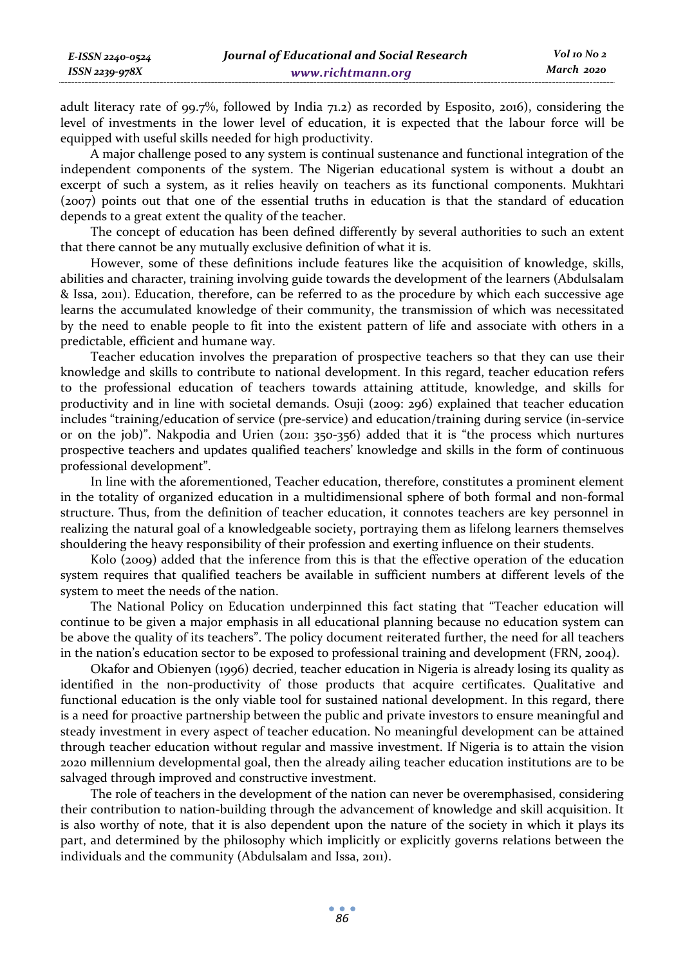adult literacy rate of 99.7%, followed by India 71.2) as recorded by Esposito, 2016), considering the level of investments in the lower level of education, it is expected that the labour force will be equipped with useful skills needed for high productivity.

A major challenge posed to any system is continual sustenance and functional integration of the independent components of the system. The Nigerian educational system is without a doubt an excerpt of such a system, as it relies heavily on teachers as its functional components. Mukhtari (2007) points out that one of the essential truths in education is that the standard of education depends to a great extent the quality of the teacher.

The concept of education has been defined differently by several authorities to such an extent that there cannot be any mutually exclusive definition of what it is.

However, some of these definitions include features like the acquisition of knowledge, skills, abilities and character, training involving guide towards the development of the learners (Abdulsalam & Issa, 2011). Education, therefore, can be referred to as the procedure by which each successive age learns the accumulated knowledge of their community, the transmission of which was necessitated by the need to enable people to fit into the existent pattern of life and associate with others in a predictable, efficient and humane way.

Teacher education involves the preparation of prospective teachers so that they can use their knowledge and skills to contribute to national development. In this regard, teacher education refers to the professional education of teachers towards attaining attitude, knowledge, and skills for productivity and in line with societal demands. Osuji (2009: 296) explained that teacher education includes "training/education of service (pre-service) and education/training during service (in-service or on the job)". Nakpodia and Urien (2011: 350-356) added that it is "the process which nurtures prospective teachers and updates qualified teachers' knowledge and skills in the form of continuous professional development".

In line with the aforementioned, Teacher education, therefore, constitutes a prominent element in the totality of organized education in a multidimensional sphere of both formal and non-formal structure. Thus, from the definition of teacher education, it connotes teachers are key personnel in realizing the natural goal of a knowledgeable society, portraying them as lifelong learners themselves shouldering the heavy responsibility of their profession and exerting influence on their students.

Kolo (2009) added that the inference from this is that the effective operation of the education system requires that qualified teachers be available in sufficient numbers at different levels of the system to meet the needs of the nation.

The National Policy on Education underpinned this fact stating that "Teacher education will continue to be given a major emphasis in all educational planning because no education system can be above the quality of its teachers". The policy document reiterated further, the need for all teachers in the nation's education sector to be exposed to professional training and development (FRN, 2004).

Okafor and Obienyen (1996) decried, teacher education in Nigeria is already losing its quality as identified in the non-productivity of those products that acquire certificates. Qualitative and functional education is the only viable tool for sustained national development. In this regard, there is a need for proactive partnership between the public and private investors to ensure meaningful and steady investment in every aspect of teacher education. No meaningful development can be attained through teacher education without regular and massive investment. If Nigeria is to attain the vision 2020 millennium developmental goal, then the already ailing teacher education institutions are to be salvaged through improved and constructive investment.

The role of teachers in the development of the nation can never be overemphasised, considering their contribution to nation-building through the advancement of knowledge and skill acquisition. It is also worthy of note, that it is also dependent upon the nature of the society in which it plays its part, and determined by the philosophy which implicitly or explicitly governs relations between the individuals and the community (Abdulsalam and Issa, 2011).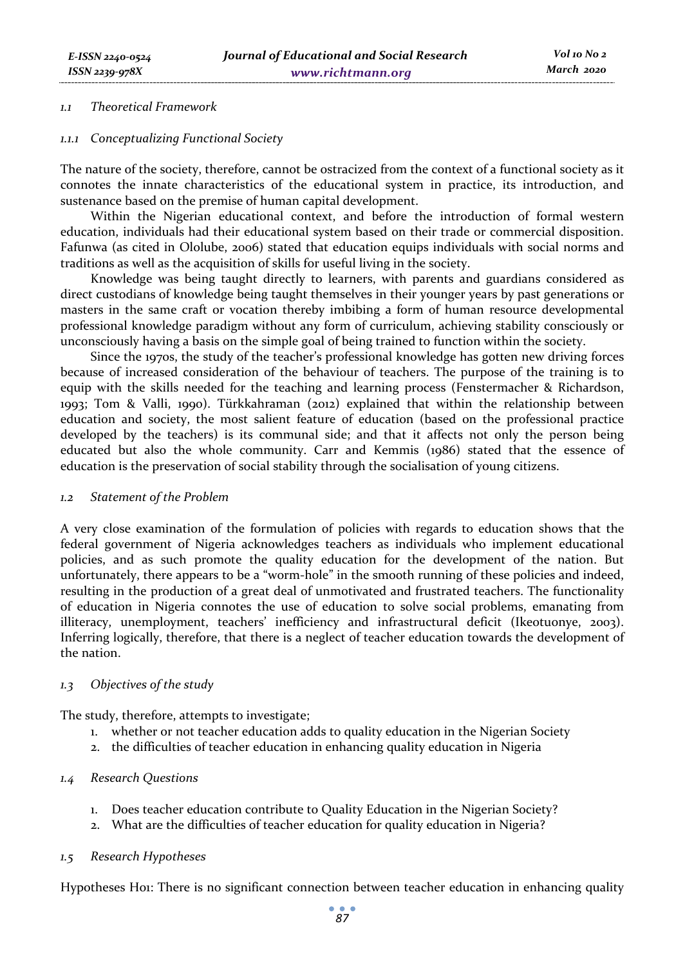#### *1.1 Theoretical Framework*

#### *1.1.1 Conceptualizing Functional Society*

The nature of the society, therefore, cannot be ostracized from the context of a functional society as it connotes the innate characteristics of the educational system in practice, its introduction, and sustenance based on the premise of human capital development.

Within the Nigerian educational context, and before the introduction of formal western education, individuals had their educational system based on their trade or commercial disposition. Fafunwa (as cited in Ololube, 2006) stated that education equips individuals with social norms and traditions as well as the acquisition of skills for useful living in the society.

Knowledge was being taught directly to learners, with parents and guardians considered as direct custodians of knowledge being taught themselves in their younger years by past generations or masters in the same craft or vocation thereby imbibing a form of human resource developmental professional knowledge paradigm without any form of curriculum, achieving stability consciously or unconsciously having a basis on the simple goal of being trained to function within the society.

Since the 1970s, the study of the teacher's professional knowledge has gotten new driving forces because of increased consideration of the behaviour of teachers. The purpose of the training is to equip with the skills needed for the teaching and learning process (Fenstermacher & Richardson, 1993; Tom & Valli, 1990). Türkkahraman (2012) explained that within the relationship between education and society, the most salient feature of education (based on the professional practice developed by the teachers) is its communal side; and that it affects not only the person being educated but also the whole community. Carr and Kemmis (1986) stated that the essence of education is the preservation of social stability through the socialisation of young citizens.

### *1.2 Statement of the Problem*

A very close examination of the formulation of policies with regards to education shows that the federal government of Nigeria acknowledges teachers as individuals who implement educational policies, and as such promote the quality education for the development of the nation. But unfortunately, there appears to be a "worm-hole" in the smooth running of these policies and indeed, resulting in the production of a great deal of unmotivated and frustrated teachers. The functionality of education in Nigeria connotes the use of education to solve social problems, emanating from illiteracy, unemployment, teachers' inefficiency and infrastructural deficit (Ikeotuonye, 2003). Inferring logically, therefore, that there is a neglect of teacher education towards the development of the nation.

### *1.3 Objectives of the study*

The study, therefore, attempts to investigate;

- 1. whether or not teacher education adds to quality education in the Nigerian Society
- 2. the difficulties of teacher education in enhancing quality education in Nigeria

### *1.4 Research Questions*

- 1. Does teacher education contribute to Quality Education in the Nigerian Society?
- 2. What are the difficulties of teacher education for quality education in Nigeria?

### *1.5 Research Hypotheses*

Hypotheses Ho1: There is no significant connection between teacher education in enhancing quality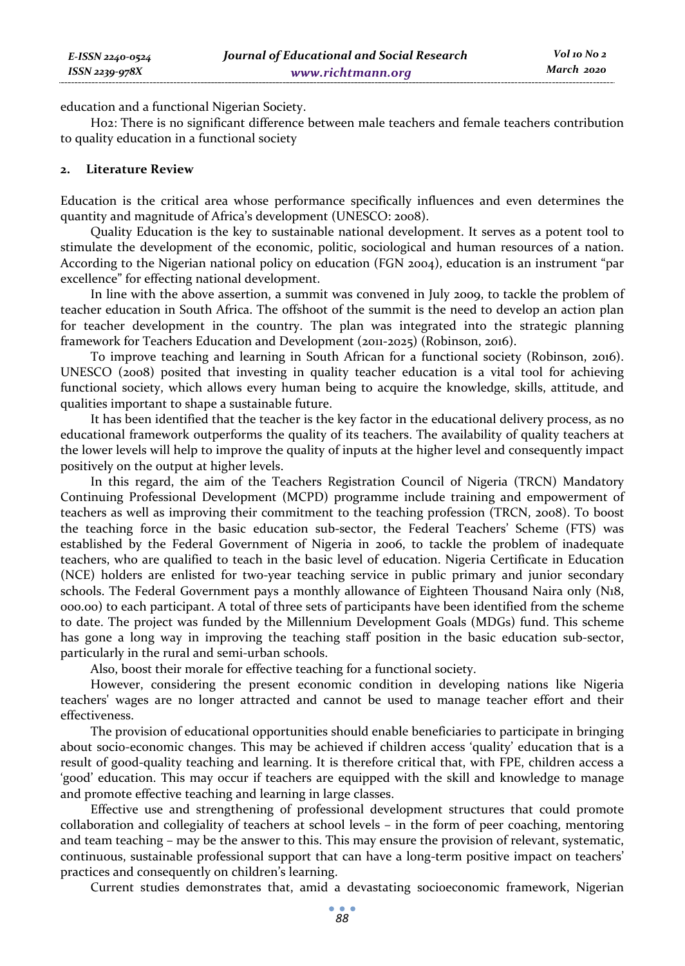education and a functional Nigerian Society.

Ho2: There is no significant difference between male teachers and female teachers contribution to quality education in a functional society

# **2. Literature Review**

*E-ISSN 2240-0524 ISSN 2239-978X*

Education is the critical area whose performance specifically influences and even determines the quantity and magnitude of Africa's development (UNESCO: 2008).

Quality Education is the key to sustainable national development. It serves as a potent tool to stimulate the development of the economic, politic, sociological and human resources of a nation. According to the Nigerian national policy on education (FGN 2004), education is an instrument "par excellence" for effecting national development.

In line with the above assertion, a summit was convened in July 2009, to tackle the problem of teacher education in South Africa. The offshoot of the summit is the need to develop an action plan for teacher development in the country. The plan was integrated into the strategic planning framework for Teachers Education and Development (2011-2025) (Robinson, 2016).

To improve teaching and learning in South African for a functional society (Robinson, 2016). UNESCO (2008) posited that investing in quality teacher education is a vital tool for achieving functional society, which allows every human being to acquire the knowledge, skills, attitude, and qualities important to shape a sustainable future.

It has been identified that the teacher is the key factor in the educational delivery process, as no educational framework outperforms the quality of its teachers. The availability of quality teachers at the lower levels will help to improve the quality of inputs at the higher level and consequently impact positively on the output at higher levels.

In this regard, the aim of the Teachers Registration Council of Nigeria (TRCN) Mandatory Continuing Professional Development (MCPD) programme include training and empowerment of teachers as well as improving their commitment to the teaching profession (TRCN, 2008). To boost the teaching force in the basic education sub-sector, the Federal Teachers' Scheme (FTS) was established by the Federal Government of Nigeria in 2006, to tackle the problem of inadequate teachers, who are qualified to teach in the basic level of education. Nigeria Certificate in Education (NCE) holders are enlisted for two-year teaching service in public primary and junior secondary schools. The Federal Government pays a monthly allowance of Eighteen Thousand Naira only (N18, 000.00) to each participant. A total of three sets of participants have been identified from the scheme to date. The project was funded by the Millennium Development Goals (MDGs) fund. This scheme has gone a long way in improving the teaching staff position in the basic education sub-sector, particularly in the rural and semi-urban schools.

Also, boost their morale for effective teaching for a functional society.

However, considering the present economic condition in developing nations like Nigeria teachers' wages are no longer attracted and cannot be used to manage teacher effort and their effectiveness.

The provision of educational opportunities should enable beneficiaries to participate in bringing about socio-economic changes. This may be achieved if children access 'quality' education that is a result of good-quality teaching and learning. It is therefore critical that, with FPE, children access a 'good' education. This may occur if teachers are equipped with the skill and knowledge to manage and promote effective teaching and learning in large classes.

Effective use and strengthening of professional development structures that could promote collaboration and collegiality of teachers at school levels – in the form of peer coaching, mentoring and team teaching – may be the answer to this. This may ensure the provision of relevant, systematic, continuous, sustainable professional support that can have a long-term positive impact on teachers' practices and consequently on children's learning.

Current studies demonstrates that, amid a devastating socioeconomic framework, Nigerian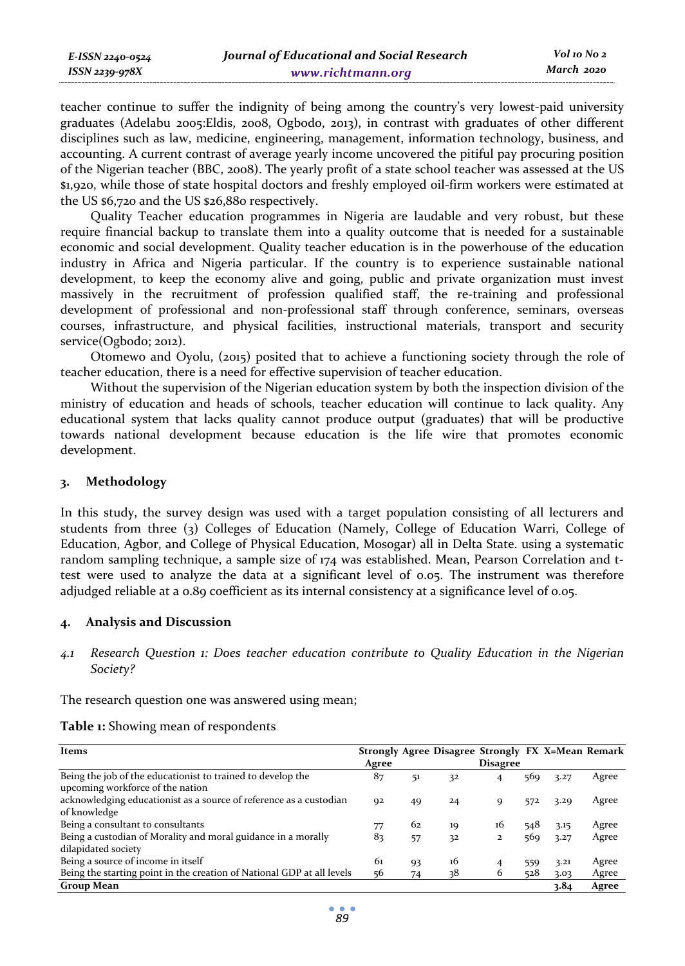| E-ISSN 2240-0524    | Journal of Educational and Social Research | Vol 10 No 2 |
|---------------------|--------------------------------------------|-------------|
| $ISSN$ 2239-97 $8X$ | www.richtmann.org                          | March 2020  |

teacher continue to suffer the indignity of being among the country's very lowest-paid university graduates (Adelabu 2005:Eldis, 2008, Ogbodo, 2013), in contrast with graduates of other different disciplines such as law, medicine, engineering, management, information technology, business, and accounting. A current contrast of average yearly income uncovered the pitiful pay procuring position of the Nigerian teacher (BBC, 2008). The yearly profit of a state school teacher was assessed at the US \$1,920, while those of state hospital doctors and freshly employed oil-firm workers were estimated at the US \$6,720 and the US \$26,880 respectively.

Quality Teacher education programmes in Nigeria are laudable and very robust, but these require financial backup to translate them into a quality outcome that is needed for a sustainable economic and social development. Quality teacher education is in the powerhouse of the education industry in Africa and Nigeria particular. If the country is to experience sustainable national development, to keep the economy alive and going, public and private organization must invest massively in the recruitment of profession qualified staff, the re-training and professional development of professional and non-professional staff through conference, seminars, overseas courses, infrastructure, and physical facilities, instructional materials, transport and security service(Ogbodo; 2012).

Otomewo and Oyolu, (2015) posited that to achieve a functioning society through the role of teacher education, there is a need for effective supervision of teacher education.

Without the supervision of the Nigerian education system by both the inspection division of the ministry of education and heads of schools, teacher education will continue to lack quality. Any educational system that lacks quality cannot produce output (graduates) that will be productive towards national development because education is the life wire that promotes economic development.

### **3. Methodology**

In this study, the survey design was used with a target population consisting of all lecturers and students from three (3) Colleges of Education (Namely, College of Education Warri, College of Education, Agbor, and College of Physical Education, Mosogar) all in Delta State. using a systematic random sampling technique, a sample size of 174 was established. Mean, Pearson Correlation and ttest were used to analyze the data at a significant level of 0.05. The instrument was therefore adjudged reliable at a 0.89 coefficient as its internal consistency at a significance level of 0.05.

### **4. Analysis and Discussion**

*4.1 Research Question 1: Does teacher education contribute to Quality Education in the Nigerian Society?* 

The research question one was answered using mean;

| Items                                                                  |       |    |    | Strongly Agree Disagree Strongly FX X=Mean Remark |     |      |       |
|------------------------------------------------------------------------|-------|----|----|---------------------------------------------------|-----|------|-------|
|                                                                        | Agree |    |    | Disagree                                          |     |      |       |
| Being the job of the educationist to trained to develop the            | 87    | 51 | 32 | 4                                                 | 569 | 3.27 | Agree |
| upcoming workforce of the nation                                       |       |    |    |                                                   |     |      |       |
| acknowledging educationist as a source of reference as a custodian     | 92    | 49 | 24 | 9                                                 | 572 | 3.29 | Agree |
| of knowledge                                                           |       |    |    |                                                   |     |      |       |
| Being a consultant to consultants                                      | 77    | 62 | 19 | 16                                                | 548 | 3.15 | Agree |
| Being a custodian of Morality and moral guidance in a morally          | 83    | 57 | 32 | $\mathbf{2}$                                      | 569 | 3.27 | Agree |
| dilapidated society                                                    |       |    |    |                                                   |     |      |       |
| Being a source of income in itself                                     | 61    | 93 | 16 | 4                                                 | 559 | 3.21 | Agree |
| Being the starting point in the creation of National GDP at all levels | 56    | 74 | 38 | 6                                                 | 528 | 3.03 | Agree |
| <b>Group Mean</b>                                                      |       |    |    |                                                   |     | 3.84 | Agree |

### **Table 1:** Showing mean of respondents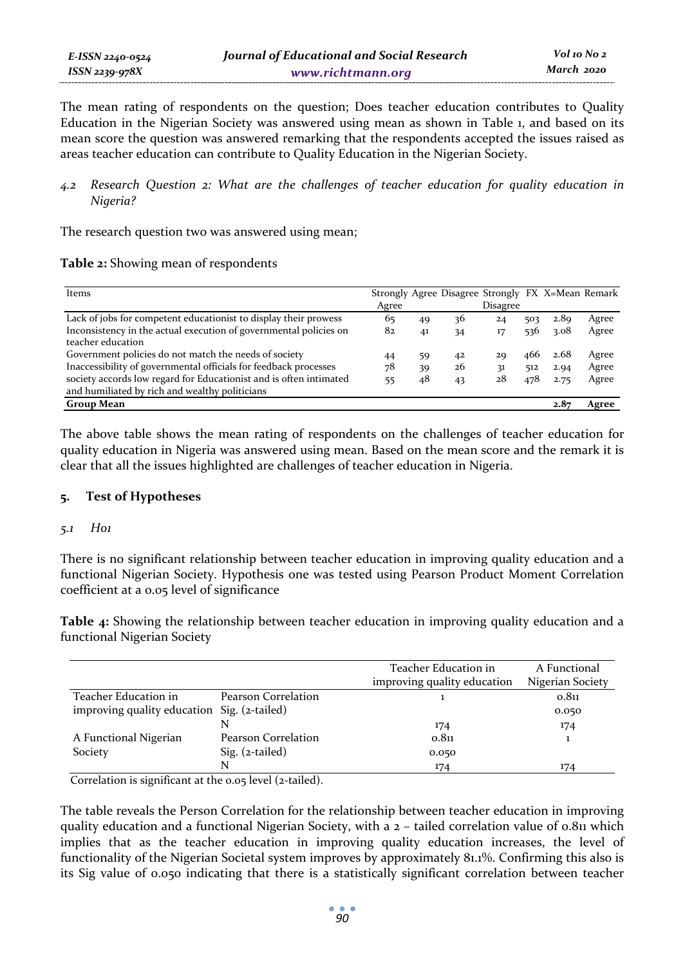The mean rating of respondents on the question; Does teacher education contributes to Quality Education in the Nigerian Society was answered using mean as shown in Table 1, and based on its mean score the question was answered remarking that the respondents accepted the issues raised as areas teacher education can contribute to Quality Education in the Nigerian Society.

*4.2 Research Question 2: What are the challenges of teacher education for quality education in Nigeria?* 

The research question two was answered using mean;

| Table 2: Showing mean of respondents |  |
|--------------------------------------|--|
|--------------------------------------|--|

| Items                                                                                                                | Agree |                | Strongly Agree Disagree Strongly FX X=Mean Remark | Disagree |     |      |       |
|----------------------------------------------------------------------------------------------------------------------|-------|----------------|---------------------------------------------------|----------|-----|------|-------|
| Lack of jobs for competent educationist to display their prowess                                                     | 65    | 49             | 36                                                | 24       | 503 | 2.89 | Agree |
| Inconsistency in the actual execution of governmental policies on<br>teacher education                               | 82    | 4 <sup>1</sup> | 34                                                | 17       | 536 | 3.08 | Agree |
| Government policies do not match the needs of society                                                                | 44    | 59             | 42                                                | 2Q       | 466 | 2.68 | Agree |
| Inaccessibility of governmental officials for feedback processes                                                     | 78    | 39             | 26                                                | 31       | 512 | 2.94 | Agree |
| society accords low regard for Educationist and is often intimated<br>and humiliated by rich and wealthy politicians | 55    | 48             | 43                                                | 28       | 478 | 2.75 | Agree |
| Group Mean                                                                                                           |       |                |                                                   |          |     | 2.87 | Agree |

The above table shows the mean rating of respondents on the challenges of teacher education for quality education in Nigeria was answered using mean. Based on the mean score and the remark it is clear that all the issues highlighted are challenges of teacher education in Nigeria.

# **5. Test of Hypotheses**

# *5.1 Ho1*

There is no significant relationship between teacher education in improving quality education and a functional Nigerian Society. Hypothesis one was tested using Pearson Product Moment Correlation coefficient at a 0.05 level of significance

**Table 4:** Showing the relationship between teacher education in improving quality education and a functional Nigerian Society

|                                             |                     | Teacher Education in<br>improving quality education | A Functional<br>Nigerian Society |
|---------------------------------------------|---------------------|-----------------------------------------------------|----------------------------------|
| Teacher Education in                        | Pearson Correlation |                                                     | 0.811                            |
| improving quality education Sig. (2-tailed) |                     |                                                     | 0.050                            |
|                                             |                     | 174                                                 | 174                              |
| A Functional Nigerian                       | Pearson Correlation | 0.811                                               |                                  |
| Society                                     | $Sig. (z-tailed)$   | 0.050                                               |                                  |
|                                             | N                   | 174                                                 | 174                              |

Correlation is significant at the 0.05 level (2-tailed).

The table reveals the Person Correlation for the relationship between teacher education in improving quality education and a functional Nigerian Society, with a  $2 -$  tailed correlation value of 0.811 which implies that as the teacher education in improving quality education increases, the level of functionality of the Nigerian Societal system improves by approximately 81.1%. Confirming this also is its Sig value of 0.050 indicating that there is a statistically significant correlation between teacher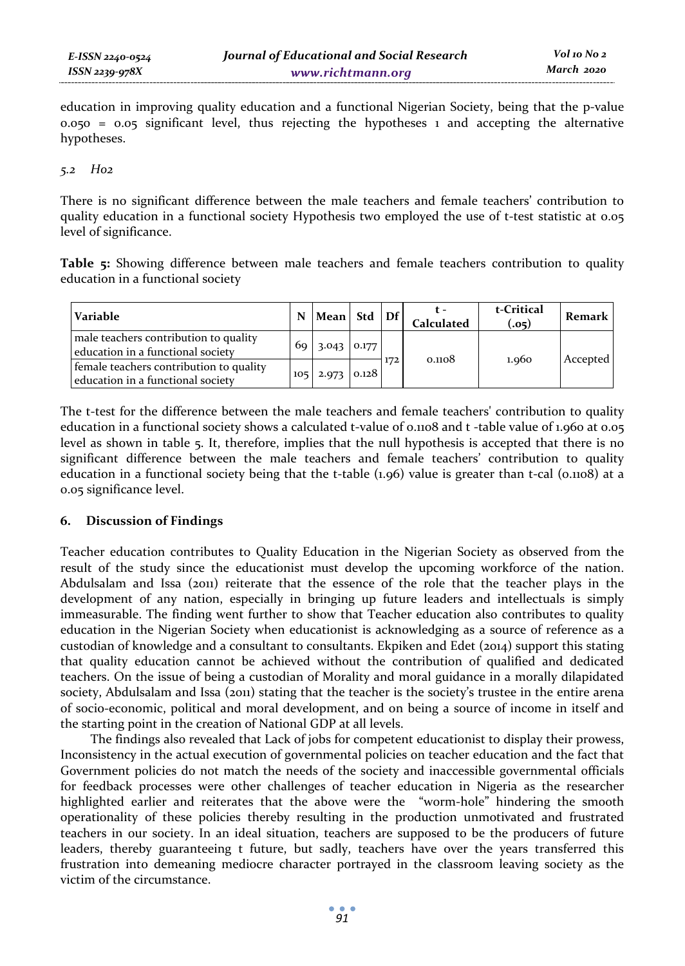education in improving quality education and a functional Nigerian Society, being that the p-value  $0.050 = 0.05$  significant level, thus rejecting the hypotheses 1 and accepting the alternative hypotheses.

### *5.2 Ho2*

There is no significant difference between the male teachers and female teachers' contribution to quality education in a functional society Hypothesis two employed the use of t-test statistic at 0.05 level of significance.

**Table 5:** Showing difference between male teachers and female teachers contribution to quality education in a functional society

| Variable                                                                     | N               | Mean Std Df           |     | <b>Calculated</b> | t-Critical<br>(.05) | Remark   |
|------------------------------------------------------------------------------|-----------------|-----------------------|-----|-------------------|---------------------|----------|
| male teachers contribution to quality<br>education in a functional society   | 69 <sub>1</sub> | $3.043$ 0.177         |     | 0.1108            |                     |          |
| female teachers contribution to quality<br>education in a functional society |                 | $105$   2.973   0.128 | 172 |                   | 1.960               | Accepted |

The t-test for the difference between the male teachers and female teachers' contribution to quality education in a functional society shows a calculated t-value of 0.1108 and t -table value of 1.960 at 0.05 level as shown in table 5. It, therefore, implies that the null hypothesis is accepted that there is no significant difference between the male teachers and female teachers' contribution to quality education in a functional society being that the t-table (1.96) value is greater than t-cal (0.1108) at a 0.05 significance level.

# **6. Discussion of Findings**

Teacher education contributes to Quality Education in the Nigerian Society as observed from the result of the study since the educationist must develop the upcoming workforce of the nation. Abdulsalam and Issa (2011) reiterate that the essence of the role that the teacher plays in the development of any nation, especially in bringing up future leaders and intellectuals is simply immeasurable. The finding went further to show that Teacher education also contributes to quality education in the Nigerian Society when educationist is acknowledging as a source of reference as a custodian of knowledge and a consultant to consultants. Ekpiken and Edet (2014) support this stating that quality education cannot be achieved without the contribution of qualified and dedicated teachers. On the issue of being a custodian of Morality and moral guidance in a morally dilapidated society, Abdulsalam and Issa (2011) stating that the teacher is the society's trustee in the entire arena of socio-economic, political and moral development, and on being a source of income in itself and the starting point in the creation of National GDP at all levels.

The findings also revealed that Lack of jobs for competent educationist to display their prowess, Inconsistency in the actual execution of governmental policies on teacher education and the fact that Government policies do not match the needs of the society and inaccessible governmental officials for feedback processes were other challenges of teacher education in Nigeria as the researcher highlighted earlier and reiterates that the above were the "worm-hole" hindering the smooth operationality of these policies thereby resulting in the production unmotivated and frustrated teachers in our society. In an ideal situation, teachers are supposed to be the producers of future leaders, thereby guaranteeing t future, but sadly, teachers have over the years transferred this frustration into demeaning mediocre character portrayed in the classroom leaving society as the victim of the circumstance.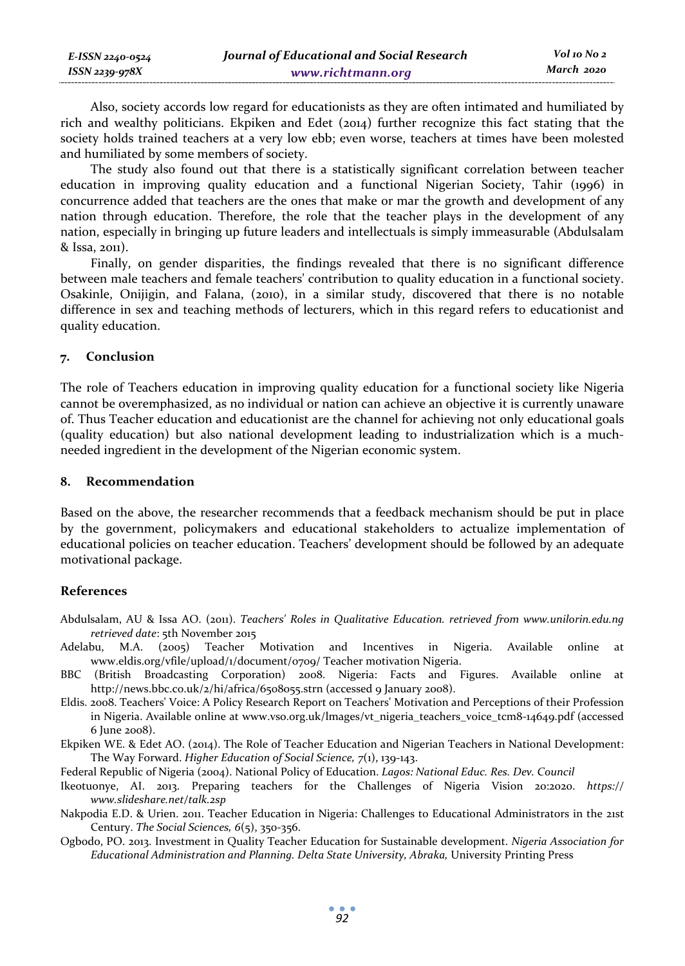| E-ISSN 2240-0524 | Journal of Educational and Social Research | Vol 10 No 2 |
|------------------|--------------------------------------------|-------------|
| ISSN 2239-978X   | www.richtmann.org                          | March 2020  |

Also, society accords low regard for educationists as they are often intimated and humiliated by rich and wealthy politicians. Ekpiken and Edet (2014) further recognize this fact stating that the society holds trained teachers at a very low ebb; even worse, teachers at times have been molested and humiliated by some members of society.

The study also found out that there is a statistically significant correlation between teacher education in improving quality education and a functional Nigerian Society, Tahir (1996) in concurrence added that teachers are the ones that make or mar the growth and development of any nation through education. Therefore, the role that the teacher plays in the development of any nation, especially in bringing up future leaders and intellectuals is simply immeasurable (Abdulsalam & Issa, 2011).

Finally, on gender disparities, the findings revealed that there is no significant difference between male teachers and female teachers' contribution to quality education in a functional society. Osakinle, Onijigin, and Falana, (2010), in a similar study, discovered that there is no notable difference in sex and teaching methods of lecturers, which in this regard refers to educationist and quality education.

#### **7. Conclusion**

The role of Teachers education in improving quality education for a functional society like Nigeria cannot be overemphasized, as no individual or nation can achieve an objective it is currently unaware of. Thus Teacher education and educationist are the channel for achieving not only educational goals (quality education) but also national development leading to industrialization which is a muchneeded ingredient in the development of the Nigerian economic system.

### **8. Recommendation**

Based on the above, the researcher recommends that a feedback mechanism should be put in place by the government, policymakers and educational stakeholders to actualize implementation of educational policies on teacher education. Teachers' development should be followed by an adequate motivational package.

### **References**

- Abdulsalam, AU & Issa AO. (2011). *Teachers' Roles in Qualitative Education. retrieved from www.unilorin.edu.ng retrieved date*: 5th November 2015
- Adelabu, M.A. (2005) Teacher Motivation and Incentives in Nigeria. Available online at www.eldis.org/vfile/upload/1/document/0709/ Teacher motivation Nigeria.
- BBC (British Broadcasting Corporation) 2008. Nigeria: Facts and Figures. Available online at http://news.bbc.co.uk/2/hi/africa/6508055.strn (accessed 9 January 2008).
- Eldis. 2008. Teachers' Voice: A Policy Research Report on Teachers' Motivation and Perceptions of their Profession in Nigeria. Available online at www.vso.org.uk/lmages/vt\_nigeria\_teachers\_voice\_tcm8-14649.pdf (accessed 6 June 2008).
- Ekpiken WE. & Edet AO. (2014). The Role of Teacher Education and Nigerian Teachers in National Development: The Way Forward. *Higher Education of Social Science, 7*(1), 139-143.

Federal Republic of Nigeria (2004). National Policy of Education. *Lagos: National Educ. Res. Dev. Council*

- Ikeotuonye, AI. 2013. Preparing teachers for the Challenges of Nigeria Vision 20:2020. *https:// www.slideshare.net/talk.2sp*
- Nakpodia E.D. & Urien. 2011. Teacher Education in Nigeria: Challenges to Educational Administrators in the 21st Century. *The Social Sciences, 6*(5), 350-356.
- Ogbodo, PO. 2013. Investment in Quality Teacher Education for Sustainable development. *Nigeria Association for Educational Administration and Planning. Delta State University, Abraka,* University Printing Press